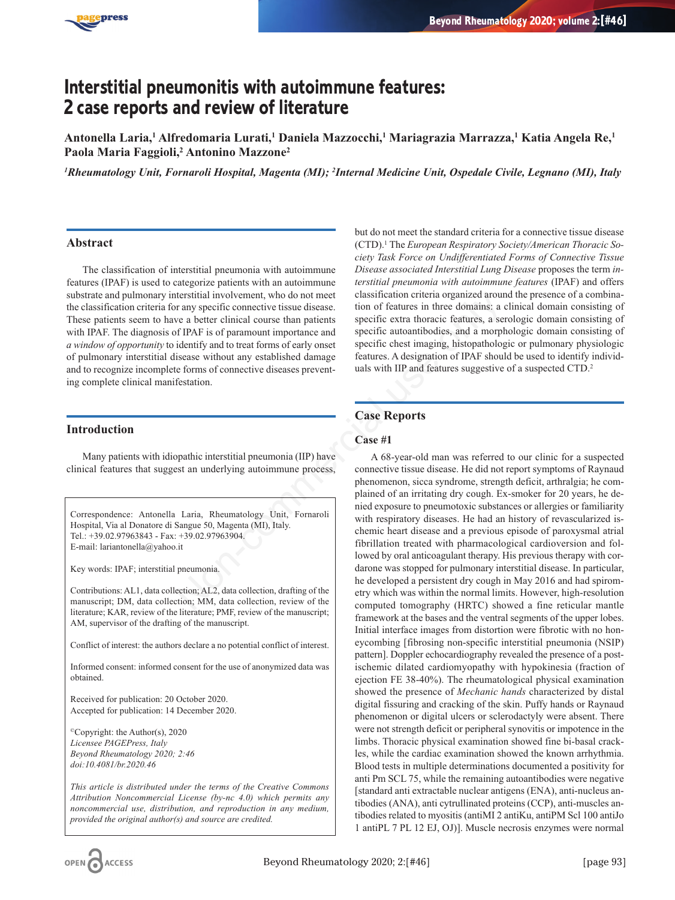

# **Interstitial pneumonitis with autoimmune features: 2 case reports and review of literature**

**Antonella Laria,1 Alfredomaria Lurati,1 Daniela Mazzocchi,1 Mariagrazia Marrazza,1 Katia Angela Re,1 Paola Maria Faggioli,2 Antonino Mazzone2**

*1 Rheumatology Unit, Fornaroli Hospital, Magenta (MI); 2 Internal Medicine Unit, Ospedale Civile, Legnano (MI), Italy*

## **Abstract**

The classification of interstitial pneumonia with autoimmune features (IPAF) is used to categorize patients with an autoimmune substrate and pulmonary interstitial involvement, who do not meet the classification criteria for any specific connective tissue disease. These patients seem to have a better clinical course than patients with IPAF. The diagnosis of IPAF is of paramount importance and *a window of opportunity* to identify and to treat forms of early onset of pulmonary interstitial disease without any established damage and to recognize incomplete forms of connective diseases preventing complete clinical manifestation.

## **Introduction**

Many patients with idiopathic interstitial pneumonia (IIP) have clinical features that suggest an underlying autoimmune process,

Correspondence: Antonella Laria, Rheumatology Unit, Fornaroli Hospital, Via al Donatore di Sangue 50, Magenta (MI), Italy. Tel.: +39.02.97963843 - Fax: +39.02.97963904. E-mail: lariantonella@yahoo.it

Key words: IPAF; interstitial pneumonia.

Contributions: AL1, data collection; AL2, data collection, drafting of the manuscript; DM, data collection; MM, data collection, review of the literature; KAR, review of the literature; PMF, review of the manuscript; AM, supervisor of the drafting of the manuscript.

Conflict of interest: the authors declare a no potential conflict of interest.

Informed consent: informed consent for the use of anonymized data was obtained.

Received for publication: 20 October 2020. Accepted for publication: 14 December 2020.

©Copyright: the Author(s), 2020 *Licensee PAGEPress, Italy Beyond Rheumatology 2020; 2:46 doi:10.4081/br.2020.46*

*This article is distributed under the terms of the Creative Commons Attribution Noncommercial License (by-nc 4.0) which permits any noncommercial use, distribution, and reproduction in any medium, provided the original author(s) and source are credited.*

but do not meet the standard criteria for a connective tissue disease (CTD).1 The *European Respiratory Society/American Thoracic Society Task Force on Undifferentiated Forms of Connective Tissue Disease associated Interstitial Lung Disease* proposes the term *interstitial pneumonia with autoimmune features* (IPAF) and offers classification criteria organized around the presence of a combination of features in three domains: a clinical domain consisting of specific extra thoracic features, a serologic domain consisting of specific autoantibodies, and a morphologic domain consisting of specific chest imaging, histopathologic or pulmonary physiologic features. A designation of IPAF should be used to identify individuals with IIP and features suggestive of a suspected CTD.2

## **Case Reports**

#### **Case #1**

A 68-year-old man was referred to our clinic for a suspected connective tissue disease. He did not report symptoms of Raynaud phenomenon, sicca syndrome, strength deficit, arthralgia; he complained of an irritating dry cough. Ex-smoker for 20 years, he denied exposure to pneumotoxic substances or allergies or familiarity with respiratory diseases. He had an history of revascularized ischemic heart disease and a previous episode of paroxysmal atrial fibrillation treated with pharmacological cardioversion and followed by oral anticoagulant therapy. His previous therapy with cordarone was stopped for pulmonary interstitial disease. In particular, he developed a persistent dry cough in May 2016 and had spirometry which was within the normal limits. However, high-resolution computed tomography (HRTC) showed a fine reticular mantle framework at the bases and the ventral segments of the upper lobes. Initial interface images from distortion were fibrotic with no honeycombing [fibrosing non-specific interstitial pneumonia (NSIP) pattern]. Doppler echocardiography revealed the presence of a postischemic dilated cardiomyopathy with hypokinesia (fraction of ejection FE 38-40%). The rheumatological physical examination showed the presence of *Mechanic hands* characterized by distal digital fissuring and cracking of the skin. Puffy hands or Raynaud phenomenon or digital ulcers or sclerodactyly were absent. There were not strength deficit or peripheral synovitis or impotence in the limbs. Thoracic physical examination showed fine bi-basal crackles, while the cardiac examination showed the known arrhythmia. Blood tests in multiple determinations documented a positivity for anti Pm SCL 75, while the remaining autoantibodies were negative [standard anti extractable nuclear antigens (ENA), anti-nucleus antibodies (ANA), anti cytrullinated proteins (CCP), anti-muscles antibodies related to myositis (antiMI 2 antiKu, antiPM Scl 100 antiJo 1 antiPL 7 PL 12 EJ, OJ)]. Muscle necrosis enzymes were normal dentitied involvement, who do not meet classitudination criterior and propertic connective tissue disconsisted to the diversity are a better clinical course than paitentists specific extra thoracic features, a set of IPAF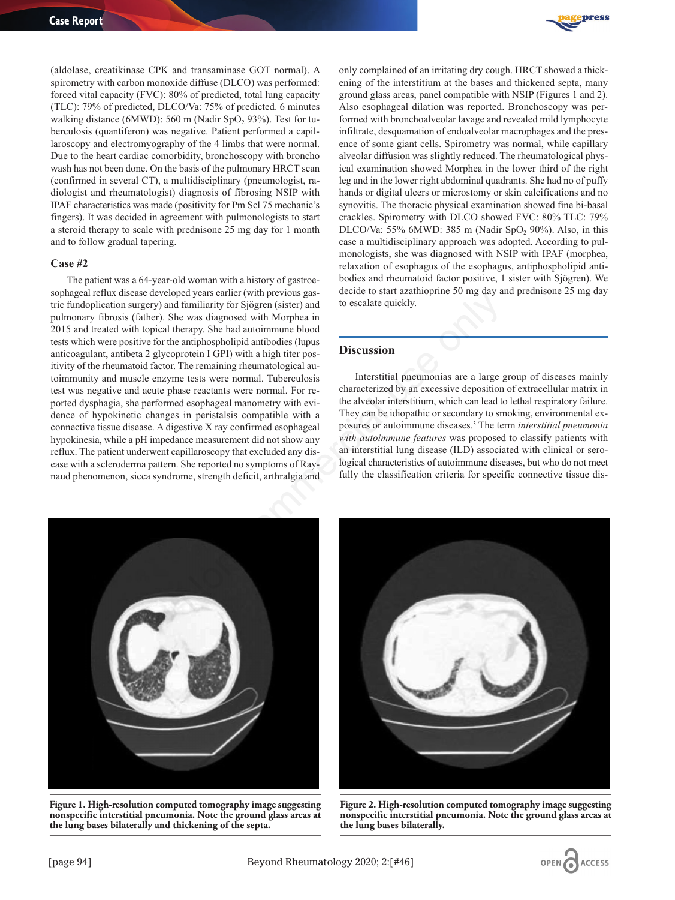

(aldolase, creatikinase CPK and transaminase GOT normal). A spirometry with carbon monoxide diffuse (DLCO) was performed: forced vital capacity (FVC): 80% of predicted, total lung capacity (TLC): 79% of predicted, DLCO/Va: 75% of predicted. 6 minutes walking distance (6MWD): 560 m (Nadir SpO $2$ , 93%). Test for tuberculosis (quantiferon) was negative. Patient performed a capillaroscopy and electromyography of the 4 limbs that were normal. Due to the heart cardiac comorbidity, bronchoscopy with broncho wash has not been done. On the basis of the pulmonary HRCT scan (confirmed in several CT), a multidisciplinary (pneumologist, radiologist and rheumatologist) diagnosis of fibrosing NSIP with IPAF characteristics was made (positivity for Pm Scl 75 mechanic's fingers). It was decided in agreement with pulmonologists to start a steroid therapy to scale with prednisone 25 mg day for 1 month and to follow gradual tapering.

#### **Case #2**

The patient was a 64-year-old woman with a history of gastroesophageal reflux disease developed years earlier (with previous gastric fundoplication surgery) and familiarity for Sjögren (sister) and pulmonary fibrosis (father). She was diagnosed with Morphea in 2015 and treated with topical therapy. She had autoimmune blood tests which were positive for the antiphospholipid antibodies (lupus anticoagulant, antibeta 2 glycoprotein I GPI) with a high titer positivity of the rheumatoid factor. The remaining rheumatological autoimmunity and muscle enzyme tests were normal. Tuberculosis test was negative and acute phase reactants were normal. For reported dysphagia, she performed esophageal manometry with evidence of hypokinetic changes in peristalsis compatible with a connective tissue disease. A digestive X ray confirmed esophageal hypokinesia, while a pH impedance measurement did not show any reflux. The patient underwent capillaroscopy that excluded any disease with a scleroderma pattern. She reported no symptoms of Raynaud phenomenon, sicca syndrome, strength deficit, arthralgia and peut years emert (with previous gase<br>
example the constant province of start and the dimiliarity for Sjögern (sister) and<br>
to escalate quickly.<br>
the was diagnosed with Morphea in<br>
to escalate quickly.<br>
and autoimmum blood<br>

only complained of an irritating dry cough. HRCT showed a thickening of the interstitium at the bases and thickened septa, many ground glass areas, panel compatible with NSIP (Figures 1 and 2). Also esophageal dilation was reported. Bronchoscopy was performed with bronchoalveolar lavage and revealed mild lymphocyte infiltrate, desquamation of endoalveolar macrophages and the presence of some giant cells. Spirometry was normal, while capillary alveolar diffusion was slightly reduced. The rheumatological physical examination showed Morphea in the lower third of the right leg and in the lower right abdominal quadrants. She had no of puffy hands or digital ulcers or microstomy or skin calcifications and no synovitis. The thoracic physical examination showed fine bi-basal crackles. Spirometry with DLCO showed FVC: 80% TLC: 79% DLCO/Va: 55% 6MWD: 385 m (Nadir SpO<sub>2</sub> 90%). Also, in this case a multidisciplinary approach was adopted. According to pulmonologists, she was diagnosed with NSIP with IPAF (morphea, relaxation of esophagus of the esophagus, antiphospholipid antibodies and rheumatoid factor positive, 1 sister with Sjögren). We decide to start azathioprine 50 mg day and prednisone 25 mg day to escalate quickly.

## **Discussion**

Interstitial pneumonias are a large group of diseases mainly characterized by an excessive deposition of extracellular matrix in the alveolar interstitium, which can lead to lethal respiratory failure. They can be idiopathic or secondary to smoking, environmental exposures or autoimmune diseases.3 The term *interstitial pneumonia with autoimmune features* was proposed to classify patients with an interstitial lung disease (ILD) associated with clinical or serological characteristics of autoimmune diseases, but who do not meet fully the classification criteria for specific connective tissue dis-



**Figure 1. High-resolution computed tomography image suggesting nonspecific interstitial pneumonia. Note the ground glass areas at the lung bases bilaterally and thickening of the septa.**



**Figure 2. High-resolution computed tomography image suggesting nonspecific interstitial pneumonia. Note the ground glass areas at the lung bases bilaterally.**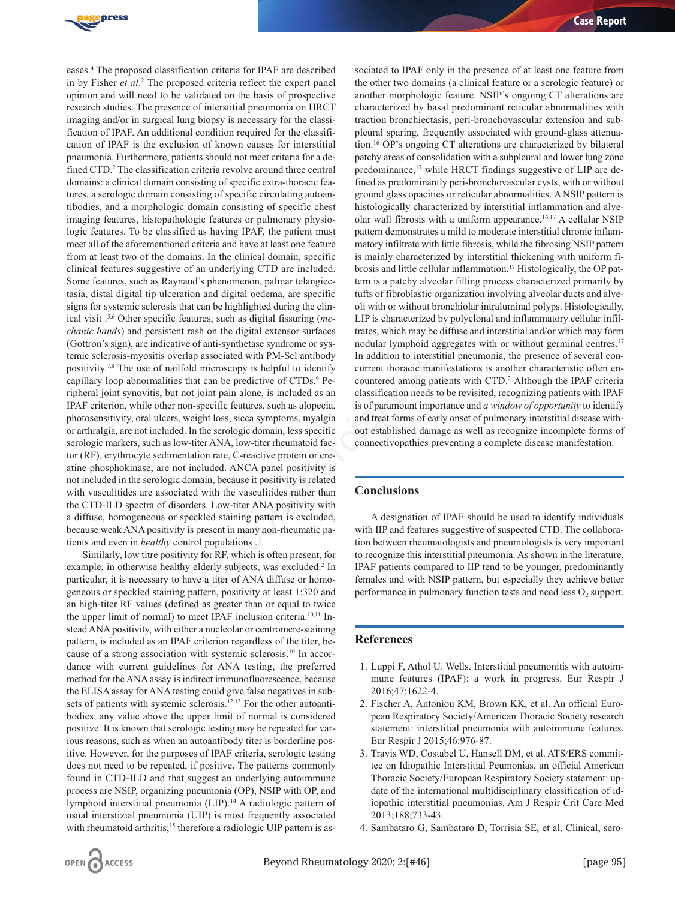

eases.4 The proposed classification criteria for IPAF are described in by Fisher *et al*. <sup>2</sup> The proposed criteria reflect the expert panel opinion and will need to be validated on the basis of prospective research studies. The presence of interstitial pneumonia on HRCT imaging and/or in surgical lung biopsy is necessary for the classification of IPAF. An additional condition required for the classification of IPAF is the exclusion of known causes for interstitial pneumonia. Furthermore, patients should not meet criteria for a defined CTD.<sup>2</sup> The classification criteria revolve around three central domains: a clinical domain consisting of specific extra-thoracic features, a serologic domain consisting of specific circulating autoantibodies, and a morphologic domain consisting of specific chest imaging features, histopathologic features or pulmonary physiologic features. To be classified as having IPAF, the patient must meet all of the aforementioned criteria and have at least one feature from at least two of the domains**.** In the clinical domain, specific clinical features suggestive of an underlying CTD are included. Some features, such as Raynaud's phenomenon, palmar telangiectasia, distal digital tip ulceration and digital oedema, are specific signs for systemic sclerosis that can be highlighted during the clinical visit .5,6 Other specific features, such as digital fissuring (*mechanic hands*) and persistent rash on the digital extensor surfaces (Gottron's sign), are indicative of anti-synthetase syndrome or systemic sclerosis-myositis overlap associated with PM-Scl antibody positivity.7,8 The use of nailfold microscopy is helpful to identify capillary loop abnormalities that can be predictive of CTDs.<sup>9</sup> Peripheral joint synovitis, but not joint pain alone, is included as an IPAF criterion, while other non-specific features, such as alopecia, photosensitivity, oral ulcers, weight loss, sicca symptoms, myalgia or arthralgia, are not included. In the serologic domain, less specific serologic markers, such as low-titer ANA, low-titer rheumatoid factor (RF), erythrocyte sedimentation rate, C-reactive protein or creatine phosphokinase, are not included. ANCA panel positivity is not included in the serologic domain, because it positivity is related with vasculitides are associated with the vasculitides rather than the CTD-ILD spectra of disorders. Low-titer ANA positivity with a diffuse, homogeneous or speckled staining pattern is excluded, because weak ANA positivity is present in many non-rheumatic patients and even in *healthy* control populations . Trainmorm and agrid oceanine presentic units of throtolastic organization involved<br>is that can be highlighted during the clinical usi with or without bronchiolar intral<br>features, such as digital fissuring (*me* LIP is cha

Similarly, low titre positivity for RF, which is often present, for example, in otherwise healthy elderly subjects, was excluded.<sup>2</sup> In particular, it is necessary to have a titer of ANA diffuse or homogeneous or speckled staining pattern, positivity at least 1:320 and an high-titer RF values (defined as greater than or equal to twice the upper limit of normal) to meet IPAF inclusion criteria.<sup>10,11</sup> Instead ANA positivity, with either a nucleolar or centromere-staining pattern, is included as an IPAF criterion regardless of the titer, because of a strong association with systemic sclerosis.10 In accordance with current guidelines for ANA testing, the preferred method for the ANA assay is indirect immunofluorescence, because the ELISA assay for ANA testing could give false negatives in subsets of patients with systemic sclerosis.<sup>12,13</sup> For the other autoantibodies, any value above the upper limit of normal is considered positive. It is known that serologic testing may be repeated for various reasons, such as when an autoantibody titer is borderline positive. However, for the purposes of IPAF criteria, serologic testing does not need to be repeated, if positive**.** The patterns commonly found in CTD-ILD and that suggest an underlying autoimmune process are NSIP, organizing pneumonia (OP), NSIP with OP, and lymphoid interstitial pneumonia (LIP).14 A radiologic pattern of usual interstizial pneumonia (UIP) is most frequently associated with rheumatoid arthritis;<sup>15</sup> therefore a radiologic UIP pattern is as-

sociated to IPAF only in the presence of at least one feature from the other two domains (a clinical feature or a serologic feature) or another morphologic feature. NSIP's ongoing CT alterations are characterized by basal predominant reticular abnormalities with traction bronchiectasis, peri-bronchovascular extension and subpleural sparing, frequently associated with ground-glass attenuation.16 OP's ongoing CT alterations are characterized by bilateral patchy areas of consolidation with a subpleural and lower lung zone predominance,<sup>17</sup> while HRCT findings suggestive of LIP are defined as predominantly peri-bronchovascular cysts, with or without ground glass opacities or reticular abnormalities. A NSIP pattern is histologically characterized by interstitial inflammation and alveolar wall fibrosis with a uniform appearance.16,17 A cellular NSIP pattern demonstrates a mild to moderate interstitial chronic inflammatory infiltrate with little fibrosis, while the fibrosing NSIP pattern is mainly characterized by interstitial thickening with uniform fibrosis and little cellular inflammation.17 Histologically, the OP pattern is a patchy alveolar filling process characterized primarily by tufts of fibroblastic organization involving alveolar ducts and alveoli with or without bronchiolar intraluminal polyps. Histologically, LIP is characterized by polyclonal and inflammatory cellular infiltrates, which may be diffuse and interstitial and/or which may form nodular lymphoid aggregates with or without germinal centres.<sup>17</sup> In addition to interstitial pneumonia, the presence of several concurrent thoracic manifestations is another characteristic often encountered among patients with CTD.2 Although the IPAF criteria classification needs to be revisited, recognizing patients with IPAF is of paramount importance and *a window of opportunity* to identify and treat forms of early onset of pulmonary interstitial disease without established damage as well as recognize incomplete forms of connectivopathies preventing a complete disease manifestation.

## **Conclusions**

A designation of IPAF should be used to identify individuals with IIP and features suggestive of suspected CTD. The collaboration between rheumatologists and pneumologists is very important to recognize this interstitial pneumonia. As shown in the literature, IPAF patients compared to IIP tend to be younger, predominantly females and with NSIP pattern, but especially they achieve better performance in pulmonary function tests and need less  $O_2$  support.

### **References**

- 1. Luppi F, Athol U. Wells. Interstitial pneumonitis with autoimmune features (IPAF): a work in progress. Eur Respir J 2016;47:1622-4.
- 2. Fischer A, Antoniou KM, Brown KK, et al. An official European Respiratory Society/American Thoracic Society research statement: interstitial pneumonia with autoimmune features. Eur Respir J 2015;46:976-87.
- 3. Travis WD, Costabel U, Hansell DM, et al. ATS/ERS committee on Idiopathic Interstitial Peumonias, an official American Thoracic Society/European Respiratory Society statement: update of the international multidisciplinary classification of idiopathic interstitial pneumonias. Am J Respir Crit Care Med 2013;188;733-43.
- 4. Sambataro G, Sambataro D, Torrisia SE, et al. Clinical, sero-